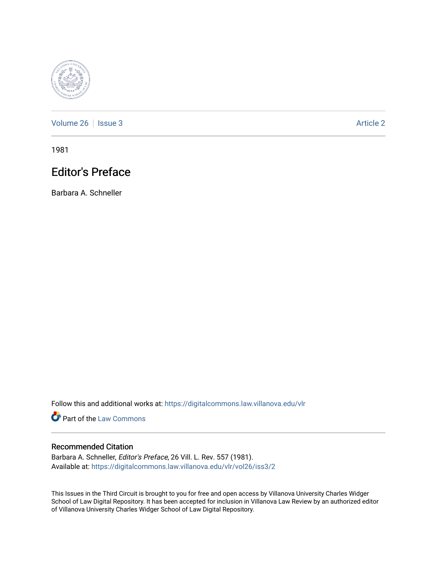

[Volume 26](https://digitalcommons.law.villanova.edu/vlr/vol26) | [Issue 3](https://digitalcommons.law.villanova.edu/vlr/vol26/iss3) Article 2

1981

## Editor's Preface

Barbara A. Schneller

Follow this and additional works at: [https://digitalcommons.law.villanova.edu/vlr](https://digitalcommons.law.villanova.edu/vlr?utm_source=digitalcommons.law.villanova.edu%2Fvlr%2Fvol26%2Fiss3%2F2&utm_medium=PDF&utm_campaign=PDFCoverPages)

**Part of the [Law Commons](http://network.bepress.com/hgg/discipline/578?utm_source=digitalcommons.law.villanova.edu%2Fvlr%2Fvol26%2Fiss3%2F2&utm_medium=PDF&utm_campaign=PDFCoverPages)** 

## Recommended Citation

Barbara A. Schneller, Editor's Preface, 26 Vill. L. Rev. 557 (1981). Available at: [https://digitalcommons.law.villanova.edu/vlr/vol26/iss3/2](https://digitalcommons.law.villanova.edu/vlr/vol26/iss3/2?utm_source=digitalcommons.law.villanova.edu%2Fvlr%2Fvol26%2Fiss3%2F2&utm_medium=PDF&utm_campaign=PDFCoverPages) 

This Issues in the Third Circuit is brought to you for free and open access by Villanova University Charles Widger School of Law Digital Repository. It has been accepted for inclusion in Villanova Law Review by an authorized editor of Villanova University Charles Widger School of Law Digital Repository.